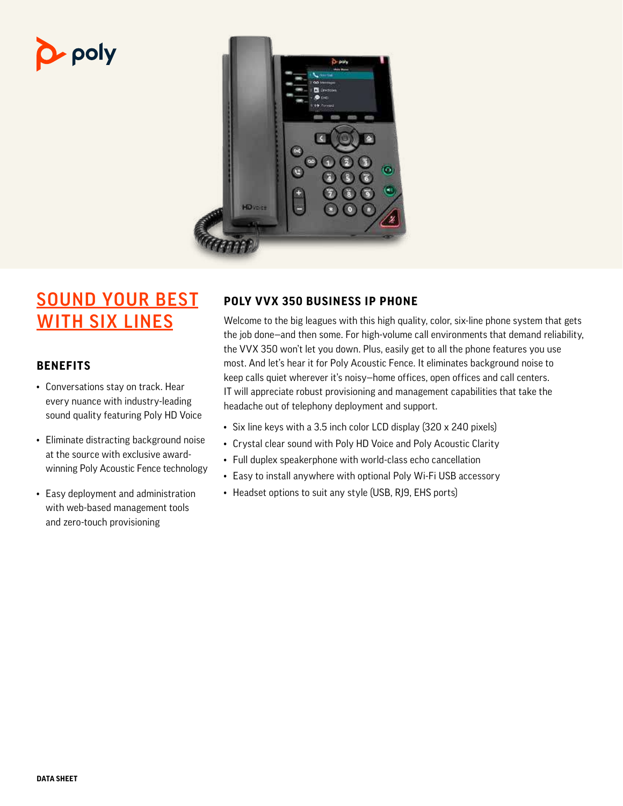# poly



# SOUND YOUR BEST **WITH SIX LINES**

### **BENEFITS**

- Conversations stay on track. Hear every nuance with industry-leading sound quality featuring Poly HD Voice
- Eliminate distracting background noise at the source with exclusive awardwinning Poly Acoustic Fence technology
- Easy deployment and administration with web-based management tools and zero-touch provisioning

## **POLY VVX 350 BUSINESS IP PHONE**

Welcome to the big leagues with this high quality, color, six-line phone system that gets the job done—and then some. For high-volume call environments that demand reliability, the VVX 350 won't let you down. Plus, easily get to all the phone features you use most. And let's hear it for Poly Acoustic Fence. It eliminates background noise to keep calls quiet wherever it's noisy—home offices, open offices and call centers. IT will appreciate robust provisioning and management capabilities that take the headache out of telephony deployment and support.

- Six line keys with a 3.5 inch color LCD display (320 x 240 pixels)
- Crystal clear sound with Poly HD Voice and Poly Acoustic Clarity
- Full duplex speakerphone with world-class echo cancellation
- Easy to install anywhere with optional Poly Wi-Fi USB accessory
- Headset options to suit any style (USB, RJ9, EHS ports)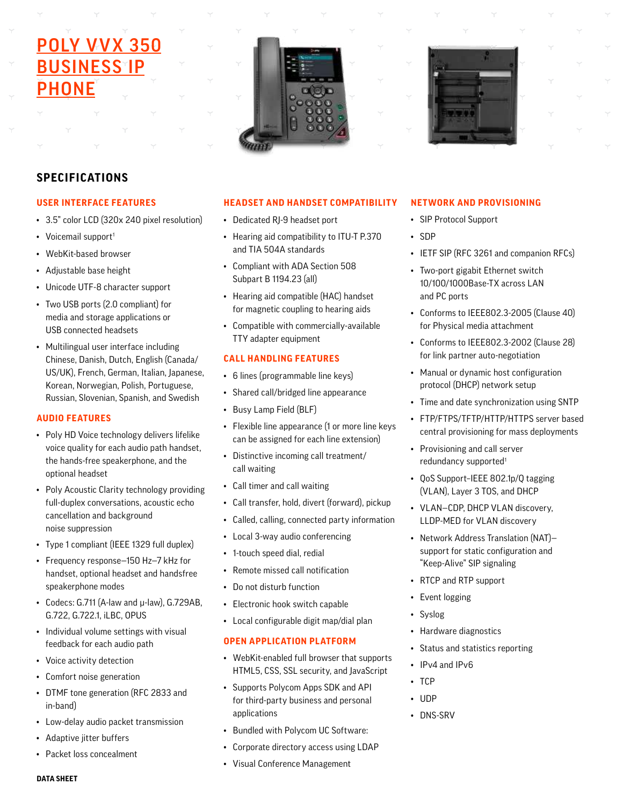# **POLY VVX 350 BUSINESS IP** PHONE





### **SPECIFICATIONS**

#### **USER INTERFACE FEATURES**

- 3.5" color LCD (320x 240 pixel resolution)
- Voicemail support<sup>1</sup>
- WebKit-based browser
- Adjustable base height
- Unicode UTF-8 character support
- Two USB ports (2.0 compliant) for media and storage applications or USB connected headsets
- Multilingual user interface including Chinese, Danish, Dutch, English (Canada/ US/UK), French, German, Italian, Japanese, Korean, Norwegian, Polish, Portuguese, Russian, Slovenian, Spanish, and Swedish

#### **AUDIO FEATURES**

- Poly HD Voice technology delivers lifelike voice quality for each audio path handset, the hands-free speakerphone, and the optional headset
- Poly Acoustic Clarity technology providing full-duplex conversations, acoustic echo cancellation and background noise suppression
- Type 1 compliant (IEEE 1329 full duplex)
- Frequency response—150 Hz—7 kHz for handset, optional headset and handsfree speakerphone modes
- Codecs: G.711 (A-law and μ-law), G.729AB, G.722, G.722.1, iLBC, OPUS
- Individual volume settings with visual feedback for each audio path
- Voice activity detection
- Comfort noise generation
- DTMF tone generation (RFC 2833 and in-band)
- Low-delay audio packet transmission
- Adaptive jitter buffers
- Packet loss concealment

#### **HEADSET AND HANDSET COMPATIBILITY**

- Dedicated RJ-9 headset port
- Hearing aid compatibility to ITU-T P.370 and TIA 504A standards
- Compliant with ADA Section 508 Subpart B 1194.23 (all)
- Hearing aid compatible (HAC) handset for magnetic coupling to hearing aids
- Compatible with commercially-available TTY adapter equipment

#### **CALL HANDLING FEATURES**

- 6 lines (programmable line keys)
- Shared call/bridged line appearance
- Busy Lamp Field (BLF)
- Flexible line appearance (1 or more line keys can be assigned for each line extension)
- Distinctive incoming call treatment/ call waiting
- Call timer and call waiting
- Call transfer, hold, divert (forward), pickup
- Called, calling, connected party information
- Local 3-way audio conferencing
- 1-touch speed dial, redial
- Remote missed call notification
- Do not disturb function
- Electronic hook switch capable
- Local configurable digit map/dial plan

#### **OPEN APPLICATION PLATFORM**

- WebKit-enabled full browser that supports HTML5, CSS, SSL security, and JavaScript
- Supports Polycom Apps SDK and API for third-party business and personal applications
- Bundled with Polycom UC Software:
- Corporate directory access using LDAP
- Visual Conference Management

#### **NETWORK AND PROVISIONING**

- SIP Protocol Support
- SDP
- IETF SIP (RFC 3261 and companion RFCs)
- Two-port gigabit Ethernet switch 10/100/1000Base-TX across LAN and PC ports
- Conforms to IEEE802.3-2005 (Clause 40) for Physical media attachment
- Conforms to IEEE802.3-2002 (Clause 28) for link partner auto-negotiation
- Manual or dynamic host configuration protocol (DHCP) network setup
- Time and date synchronization using SNTP
- FTP/FTPS/TFTP/HTTP/HTTPS server based central provisioning for mass deployments
- Provisioning and call server redundancy supported<sup>1</sup>
- QoS Support–IEEE 802.1p/Q tagging (VLAN), Layer 3 TOS, and DHCP
- VLAN—CDP, DHCP VLAN discovery, LLDP-MED for VLAN discovery
- Network Address Translation (NAT) support for static configuration and "Keep-Alive" SIP signaling
- RTCP and RTP support
- Event logging
- **Syslog**
- Hardware diagnostics
- Status and statistics reporting
- IPv4 and IPv6
- TCP
- UDP
- DNS-SRV

**DATA SHEET**